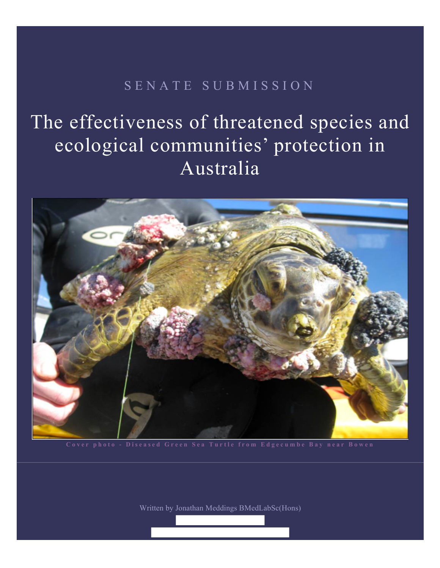# SENATE SUBMISSION

The effectiveness of threatened species and ecological communities' protection in Australia



**Cover photo - Diseased Green Sea Turtle from Edgecumbe Bay near Bowen**

Written by Jonathan Meddings BMedLabSc(Hons)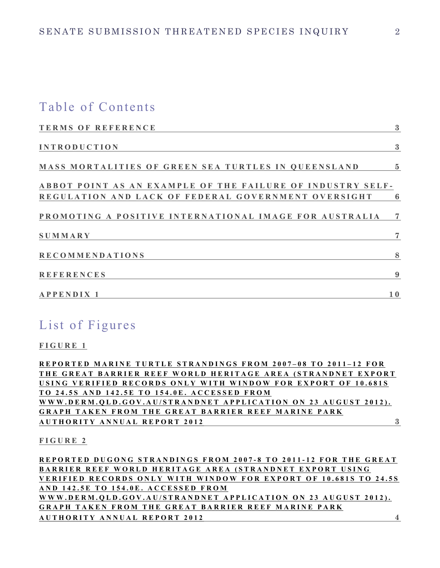### Table of Contents

| <b>TERMS OF REFERENCE</b>                                  | $\boldsymbol{3}$ |
|------------------------------------------------------------|------------------|
| <b>INTRODUCTION</b>                                        | $\boldsymbol{3}$ |
| MASS MORTALITIES OF GREEN SEA TURTLES IN QUEENSLAND        | $\overline{5}$   |
| ABBOT POINT AS AN EXAMPLE OF THE FAILURE OF INDUSTRY SELF- |                  |
| REGULATION AND LACK OF FEDERAL GOVERNMENT OVERSIGHT        | 6                |
| PROMOTING A POSITIVE INTERNATIONAL IMAGE FOR AUSTRALIA     | $\overline{7}$   |
| <b>SUMMARY</b>                                             | 7                |
| <b>RECOMMENDATIONS</b>                                     | 8                |
| <b>REFERENCES</b>                                          | 9                |
| <b>APPENDIX 1</b>                                          | 10               |

### List of Figures

**FIGURE 1**

**REPORTED MARINE TURTLE STRANDINGS FROM 2007-08 TO 2011-12 FOR** THE GREAT BARRIER REEF WORLD HERITAGE AREA (STRANDNET EXPORT **USING VERIFIED RECORDS ONLY WITH WINDOW FOR EXPORT OF 10.681S TO 24.5S AND 142.5E TO 154.0E. ACCESSED FROM**  WWW.DERM.QLD.GOV.AU/STRANDNET APPLICATION ON 23 AUGUST 2012). **GRAPH TAKEN FROM THE GREAT BARRIER REEF M ARINE PARK AUTHORITY ANNUAL REP ORT 2012 3**

**FIGURE 2**

**REPORTED DUGONG STRANDINGS FROM 2007-8 TO 2011-12 FOR THE GREAT BARRIER REEF WORLD HERITAGE AREA (STRANDNET EXPORT USING VERIFIED RECORDS ONL Y WITH WINDOW FOR EX PORT OF 10.681S TO 2 4.5S AND 142.5E TO 154.0E . ACCESSED FROM**  WWW.DERM.QLD.GOV.AU/STRANDNET APPLICATION ON 23 AUGUST 2012). **GRAPH TAKEN FROM THE GREAT BARRIER REEF M ARINE PARK AUTHORITY ANNUAL REP ORT 2012 4**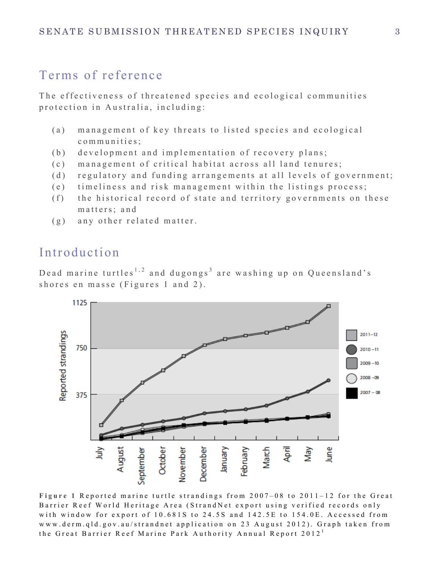## Terms of reference

The effectiveness of threatened species and ecological communities protection in Australia, including:

- (a) management of key threats to listed species and ecological communities;
- (b) development and implementation of recovery plans;
- (c) management of critical habitat across all land tenures;
- (d) regulatory and funding arrangements at all levels of government;
- (e) timeliness and risk management within the listings process;
- (f) the historical record of state and territory governments on these matters; and
- (g) any other related matter.

# Introduction

Dead marine turtles<sup>1,2</sup> and dugongs<sup>3</sup> are washing up on Queensland's shores en masse (Figures 1 and 2).



**Figure 1** Reported marine turtle strandings from 2007 – 08 to 2011 – 12 for the Great Barrier Reef World Heritage Area (StrandNet export using verified records only with window for export of 10.681S to 24.5S and 142.5E to 154.0E. Accessed from www.derm.qld.gov.au/strandnet application on 23 August 2012). Graph taken from the Great Barrier Reef Marine Park Authority Annual Report 2012<sup>1</sup>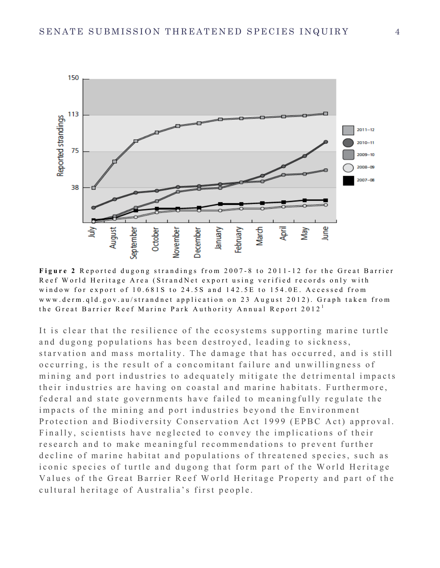

Figure 2 Reported dugong strandings from 2007-8 to 2011-12 for the Great Barrier Reef World Heritage Area (StrandNet export using verified records only with window for export of 10.681S to 24.5S and 142.5E to 154.0E. Accessed from www.derm.qld.gov.au/strandnet application on 23 August 2012). Graph taken from the Great Barrier Reef Marine Park Authority Annual Report 2012<sup>1</sup>

It is clear that the resilience of the ecosystems supporting marine turtle and dugong populations has been destroyed, leading to sickness, starvation and mass mortality. The damage that has occurred, and is still occurring, is the result of a concomitant failure and unwillingness of mining and port industries to adequately mitigate the detrimental impacts their industries are having on coastal and marine habitats. Furthermore, federal and state governments have failed to meaningfully regulate the impacts of the mining and port industries beyond the Environment Protection and Biodiversity Conservation Act 1999 (EPBC Act) approval. Finally, scientists have neglected to convey the implications of their research and to make meaningful recommendations to prevent further decline of marine habitat and populations of threatened species, such as iconic species of turtle and dugong that form part of the World Heritage Values of the Great Barrier Reef World Heritage Property and part of the cultur al heritage of Australia's first people.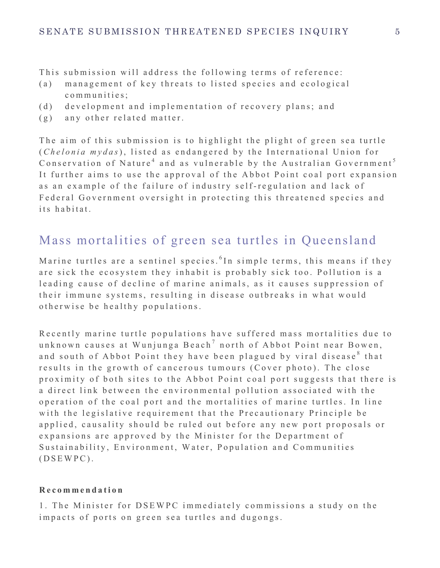This submission will address the following terms of reference:

- (a) management of key threats to listed species and ecological communities;
- (d) development and implementation of recovery plans; and
- (g) any other related matter.

The aim of this submission is to highlight the plight of green sea turtle (*Chelonia mydas*), listed as endangered by the International Union for Conservation of Nature<sup>4</sup> and as vulnerable by the Australian Government<sup>5</sup> It further aims to use the approval of the Abbot Point coal port expansion as an example of the failure of industry self - regulation and lack of Federal Government oversight in protecting this threatened species and its habitat.

### Mass mortalities of green sea turtles in Queensland

Marine turtles are a sentinel species. <sup>6</sup> In simple terms, this means if they are sick the ecosystem they inhabit is probably sick too . Pollution is a leading cause of decline of marine animals, as it causes suppression of their immune systems, resulting in disease outbreaks in what would otherwise be healthy populations.

Recently marine turtle populations have suffered mass mortalities due to unknown causes at Wunjunga Beach<sup>7</sup> north of Abbot Point near Bowen, and south of Abbot Point they have been plagued by viral disease<sup>8</sup> that results in the growth of cancerous tumours (Cover photo ). The close proximity of both sites to the Abbot Point coal port suggests that there is a direct link between the environmental pollution associated with the operation of the coal port and the mortalities of marine turtles. In line with the legislative requirement that the Precautionary Principle be applied, causality should be ruled out before any new port proposals or expansions are approved by the Minister for the Department of Sustainability, Environment, Water, Population and Communities (DSEWPC).

#### **Recommendation**

1. The Minister for DSEWPC immediately commissions a study on the impacts of ports on green sea turtles and dugongs.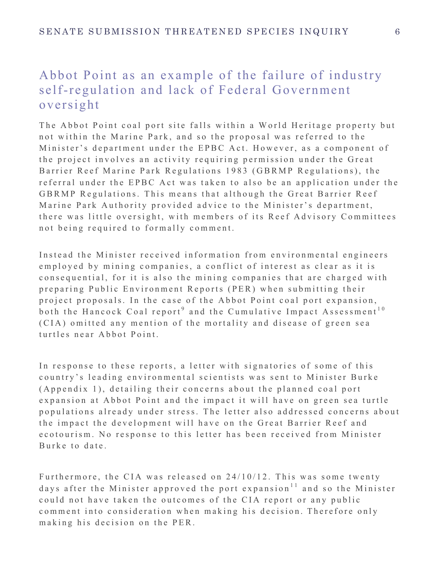# Abbot Point as an example of the failure of industry self-regulation and lack of Federal Government oversight

The Abbot Point coal port site falls within a World Heritage property but not within the Marine Park, and so the proposal was referred to the Minister's department under the EPBC Act. However, as a component of the project involves an activity requiring permission under the Great Barrier Reef Marine Park Regulations 1983 (GBRMP Regulations), the referral under the EPBC Act was taken to also be an application under the GBRMP Regulations. This means that although the Great Barrier Reef Marine Park Authority provided advice to the Minister's department, there was little oversight, with members of its Reef Advisory Committees not being required to formally comment.

Instead the Minister received information from environmental engineers employed by mining companies, a conflict of interest as clear as it is consequential, for it is also the mining companies that are charged with preparing Public Environment Reports (PER) when submitting their project proposals. In the case of the Abbot Point coal port expansion, both the Hancock Coal report<sup>9</sup> and the Cumulative Impact Assessment<sup>10</sup> (CIA) omitted any mention of the mortality and disease of green sea turtles near Abbot Point.

In response to these reports, a letter with signatories of some of this country's leading environmental scientists was sent to Minister Burke (Appendix 1), detailing their concerns about the planned coal port expansion at Abbot Point and the impact it will have on green sea turtle populations already under stress. The letter also addressed concerns about the impact the development will have on the Great Barrier Reef and ecotourism. No response to this letter has been received from Minister Burke to date .

Furthermore, the CIA was released on  $24/10/12$ . This was some twenty days after the Minister approved the port expansion<sup>11</sup> and so the Minister could not have taken the outcomes of the CIA report or any public comment into consideration when making his decision. Therefore only making his decision on the PER.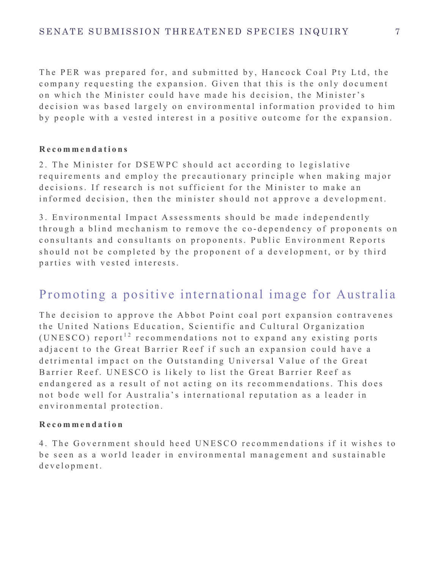The PER was prepared for, and submitted by, Hancock Coal Pty Ltd, the company reque sting the expansion. Given that this is the only document on which the Minister could have made his decision, the Minister's decision was based largely on environmental information provided to him by people with a vested interest in a positive outcome for the expansion .

#### **Recommendations**

2. The Minister for DSEWPC should act according to legislative requirements and employ the precautionary principle when making major decisions. If research is not sufficient for the Minister to make an informed decision, then the minister should not approve a development.

3. Environmental Impact Assessments should be made independently through a blind mechanism to remove the co - dependency of proponents on consultants and consultants on proponents. Public Environment Reports should not be completed by the proponent of a development, or by third parties with vested interests.

## Promoting a positive international image for Australia

The decision to approve the Abbot Point coal port expansion contravenes the United Nations Education, Scientific and Cultural Organization (UNESCO) report<sup>12</sup> recommendations not to expand any existing ports adjacent to the Great Barrier Reef if such an expansion could have a detrimental impact on the Outstanding Universal Value of the Great Barrier Reef. UNESCO is likely to list the Great Barrier Reef as endan gered as a result of not acting on its recommendations. This does not bode well for Australia's international reputation as a leader in environmental protection .

#### **Recommendation**

4. The Government should heed UNESCO recommendations if it wishes to be seen as a world leader in environmental management and sustainable development.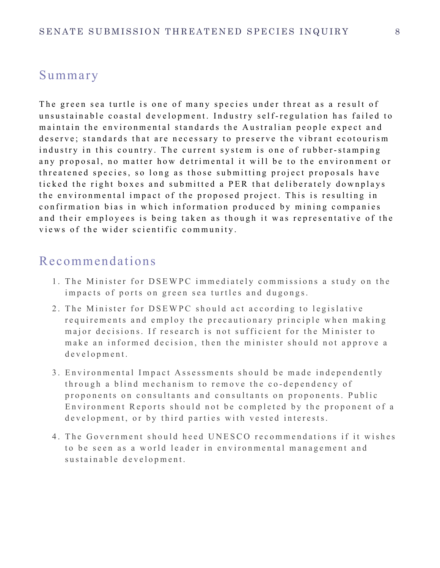### Summary

The green sea turtle is one of many species under threat as a result of unsustainable coastal development. Industry s elf - regulation has failed to maintain the environmental standards the Australian people expect and deserve; standards that are necessary to preserve the vibrant ecotourism industry in this country. The current system is one of rubber -stamping any proposal, no matter how detrimental it will be to the environment or threatened species, so long as those submitting project proposals have ticked the right boxes and submitted a PER that deliberately downplays the environmental impact of the proposed project. This is resulting in confirma tion bias in which information produced by mining companies and their employees is being taken as though it was representative of the views of the wider scientific community.

### Recommendations

- 1 . The Minister for DSEWPC immediately commissions a study on the impacts of ports on green sea turtles and dugongs.
- 2 . The Minister for DSEWPC should act according to legislative requirements and employ the precautionary principle when making major decisions. If research is not sufficient for the Minister to make an informed decision, then the minister should not approve a development.
- 3 . Environmental Impact Assessments should be made independently through a blind mechanism to remove the co - dependency of proponents on consultants and consultants on proponents. Public Environment Reports should not be completed by the proponent of a development, or by third parties with vested interests.
- 4 . The Government should heed UNESCO recommendations if it wishes to be seen as a world leader in environmental management and sustainable development.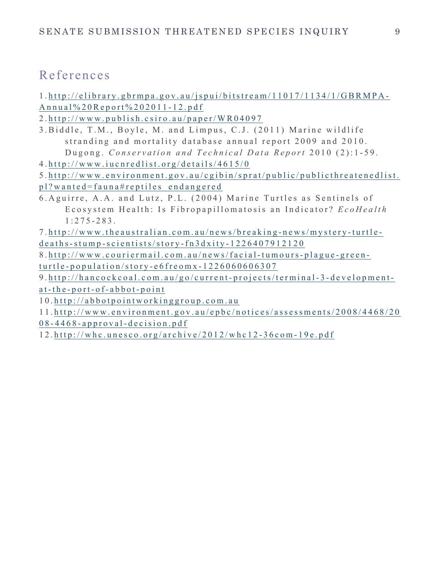# References

1 . http://elibrary.gbrmpa.gov.au/jspui/bitstream/11017/1134/1/GBRMPA - Annual%20Report%202011 - 12.pdf

2 . http://www.publish.csiro.au/paper/WR04097

3 .Biddle, T.M., Boyle, M. and Limpus, C.J. (2011) Marine wildlife stranding and mortality database annual report 2009 and 2010. Dugong. *Conservation and Technical Data Report* 2010 (2):1-59.

4 . http:// www.iucnredlist.org/details/4615/0

5 . http://www.environment.gov.au/cgibin/sprat/public/publicthreatenedlist.

pl?wanted=fauna#rep tiles\_endangered

6. Aguirre, A.A. and Lutz, P.L. (2004) Marine Turtles as Sentinels of Ecosystem Health: Is Fibropapillomatosis an Indicator? *EcoHealth*  $1:275 - 283$ .

7 . http://www.theaustralian.com.au/news/breaking - news/mystery - turtle deaths-stump -scientists/story - fn3dxity - 1226407912120

8 . http://www.couriermail.com.au/news/facial- tumours- plague - green turtle - population/story - e6freomx - 1226060606307

9 . http://hancockcoal.com.au/go/current- projects/terminal- 3 - developmenta t - the - port- o f - abbot - point

1 0 . http://abbot pointworkinggroup.com.au

1 1 . http://www.environment.gov.au/epbc/notices/assessments/2008/4468/20

0 8 - 4468 - approval - decision.pdf

1 2 . http://whc.unesco.org/archive/2012/whc12 - 36com - 19e.pdf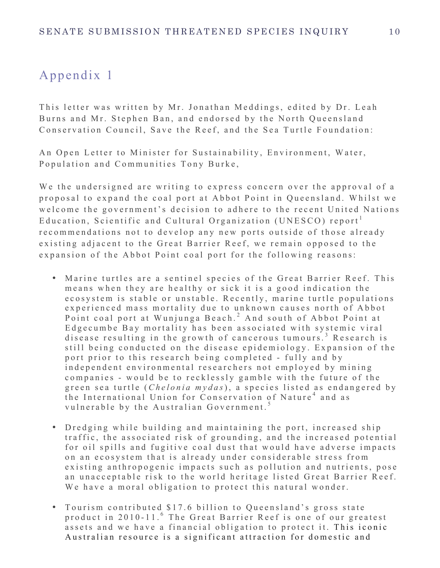# Appendix 1

This letter was written by Mr. Jonathan Meddings, edited by Dr. Leah Burns and Mr. Stephen Ban, and endorsed by the North Queensland Conservation Council, Save the Reef, and the Sea Turtle Foundation:

An Open Letter to Minister for Sustainability, Environment, Water, Population and Communities Tony Burke,

We the undersigned are writing to express concern over the approval of a proposal to expand the coal port at Abbot Point in Queensland. Whilst we welcome the government's decision to adhere to the recent United Nations Education, Scientific and Cultural Organization (UNESCO) report<sup>1</sup> recommendations not to develop any new ports outside of those already existing adjacent to the Great Barrier Reef, we remain opposed to the expansion of the Abbot Point coal port for the following reasons:

- Marine turtles are a sentinel species of the Great Barrier Reef. This means when they are healthy or sick it is a good indication the ecosystem is stable or unstable. Recently, marine turtle populations experienced mass mortality due to unknown causes north of Abbot Point coal port at Wunjunga Beach.<sup>2</sup> And south of Abbot Point at Edgecumbe Bay mortality has been associated with systemic viral disease resulting in the growth of cancerous tumours.<sup>3</sup> Research is still being conducted on the disease epidemiology. Expansion of the port prior to this research being completed - fully and by ind ependent environmental researchers not employed by mining companies - would be to recklessly gamble with the future of the green sea turtle (*Chelonia mydas*), a species listed as endangered by the International Union for Conservation of Nature<sup>4</sup> and as vulnerable by the Australian Government.<sup>5</sup>
- Dredging while building and maintaining the port, increased ship traffic, the associated risk of grounding, and the increased potential for oil spills and fugitive coal dust that would have adverse impacts on an ecosy stem that is already under considerable stress from existing anthropogenic impacts such as pollution and nutrients, pose an unacceptable risk to the world heritage listed Great Barrier Reef. We have a moral obligation to protect this natural wonder.
- Tourism contributed \$17.6 billion to Queensland's gross state product in 2010-11.<sup>6</sup> The Great Barrier Reef is one of our greatest assets and we have a financial obligation to protect it. This iconic Australian resource is a significant attraction for domestic and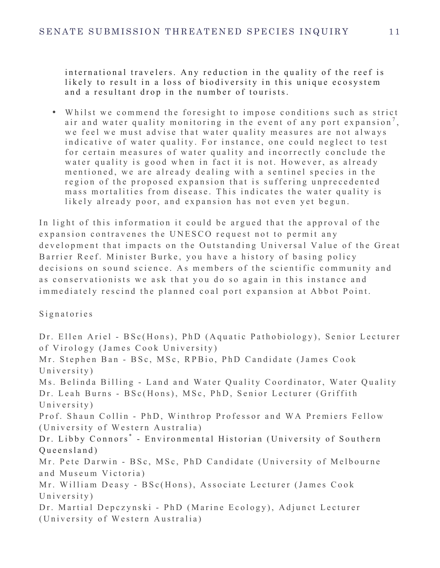international travelers. Any reduction in the quality of the reef is likely to result in a loss of biodiversity in this unique ecosystem and a resultant drop in the number of tourists.

• Whilst we commend the foresight to impose conditions such as strict air and water quality monitoring in the event of any port expansion<sup>7</sup>, we feel we must advise that water quality measures are not always indicative of water quality. For instance, one could neglect to test for certain measures of water quality and incorrectly conclude the water quality is good when in fact it is not. However, as already mentioned, we are already dealing with a sentinel species in the region of the proposed expansion that is suffering unprecedented mass mortalities from disease. This indicates the water quality is likely already poor, and expansion has not even yet begun.

In light of this information it could be argued that the approval of the expansion contravenes the UNESCO request not to permit any development that impacts on the Outstanding Universal Value of the Great Barrier Reef. Minister Burke, you have a history of basing policy decisions on sound science. As members of the scientific community and as conservationists we ask that you do so again in this instance and immediately rescind the planned coal port expansion at Abbot Point.

Signatories

Dr. Ellen Ariel - BSc(Hons), PhD (Aquatic Pathobiology), Senior Lecturer of Virology (James Cook University) Mr. Stephen Ban - BSc, MSc, RPBio, PhD Candidate (James Cook University) Ms. Belinda Billing - Land and Water Quality Coordinator, Water Quality Dr. Leah Burns - BSc(Hons), MSc, PhD, Senior Lecturer (Griffith University) Prof. Shaun Collin - PhD, Winthrop Professor and WA Premiers Fellow (University of Western Australia) Dr. Libby Connors<sup>\*</sup> - Environmental Historian (University of Southern) Queensland) Mr. Pete Darwin - BSc, MSc, PhD Candidate (University of Melbourne and Museum Victoria) Mr. William Deasy - BSc(Hons), Associate Lecturer (James Cook University) Dr. Martial Depczynski - PhD (Marine Ecology), Adjunct Lecturer (University of Western Australia)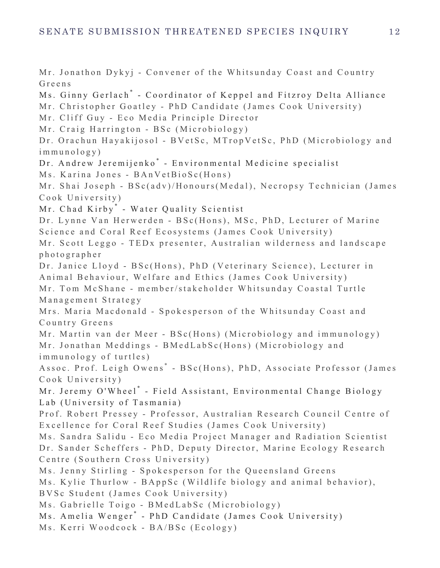Mr. Jonathon Dykyj - Convener of the Whitsunday Coast and Country Greens Ms. Ginny Gerlach<sup>\*</sup> - Coordinator of Keppel and Fitzroy Delta Alliance Mr. Christopher Goatley - PhD Candidate (James Cook University) Mr. Cliff Guy - Eco Media Principle Director Mr. Craig Harrington - BSc (Microbiology) Dr. Orachun Hayakijosol - BVetSc, MTropVetSc, PhD (Microbiology and immunology) Dr. Andrew Jeremijenko<sup>\*</sup> - Environmental Medicine specialist Ms. Karina Jones - BAnVetBioSc(Hons) Mr. Shai Joseph - BSc(adv)/Honours(Medal), Necropsy Technician (James Cook University) Mr. Chad Kirby<sup>\*</sup> - Water Quality Scientist Dr. Lynne Van Herwerden - BSc(Hons), MSc, PhD, Lecturer of Marine Science and Coral Reef Ecosy stems (James Cook University) Mr. Scott Leggo - TEDx presenter, Australian wilderness and landscape photographer Dr. Janice Lloyd - BSc(Hons), PhD (Veterinary Science), Lecturer in Animal Behaviour, Welfare and Ethics (James Cook University) Mr. Tom McShane - member/stakeholder Whitsunday Coastal Turtle Management Strategy Mrs. Maria Macdonald - Spokesperson of the Whitsunday Coast and Country Greens Mr. Martin van der Meer - BSc(Hons) (Microbiology and immunology) Mr. Jonathan Meddings - BMedLabSc(Hons) ( Microbiology and immunology of turtles) Assoc. Prof. Leigh Owens<sup>\*</sup> - BSc(Hons), PhD, Associate Professor (James Cook University) Mr. Jeremy O'Wheel<sup>\*</sup> - Field Assistant, Environmental Change Biology Lab (University of Tasmania) Prof. Robert Pressey - Professor, Australian Research Council Centre of Excellence for Coral Reef Studies (James Cook University) Ms. Sandra Salidu - Eco Media Project Manager and Radiation Scientist Dr. Sander Scheffers - PhD, Deputy Director, Marine Ecology Research Centre (Southern Cross University) Ms. Jenny Stirling - Spokesperson for the Queensland Greens Ms. Kylie Thurlow - BAppSc (Wildlife biology and animal behavior), BVSc Student (James Cook University) Ms. Gabrielle Toigo - BMedLabSc (Microbiology) Ms. Amelia Wenger<sup>\*</sup> - PhD Candidate (James Cook University) Ms. Kerri Woodcock - BA/BSc (Ecology)